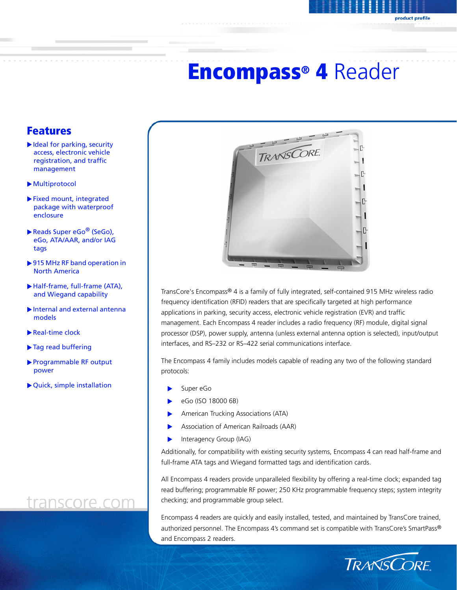# Encompass® 4 Reader

### Features

- $\blacktriangleright$  Ideal for parking, security access, electronic vehicle registration, and traffic management
- $\blacktriangleright$  Multiprotocol
- $\blacktriangleright$  Fixed mount, integrated package with waterproof enclosure
- Reads Super eGo<sup>®</sup> (SeGo), eGo, ATA/AAR, and/or IAG tags
- ▶ 915 MHz RF band operation in North America
- X Half-frame, full-frame (ATA), and Wiegand capability
- $\blacktriangleright$  Internal and external antennal models
- $\blacktriangleright$  Real-time clock
- $\blacktriangleright$  Tag read buffering
- X Programmable RF output power
- $\blacktriangleright$  Quick, simple installation

## transcore.com



TransCore's Encompass® 4 is a family of fully integrated, self-contained 915 MHz wireless radio frequency identification (RFID) readers that are specifically targeted at high performance applications in parking, security access, electronic vehicle registration (EVR) and traffic management. Each Encompass 4 reader includes a radio frequency (RF) module, digital signal processor (DSP), power supply, antenna (unless external antenna option is selected), input/output interfaces, and RS–232 or RS–422 serial communications interface.

The Encompass 4 family includes models capable of reading any two of the following standard protocols:

- Super eGo
- eGo (ISO 18000 6B)
- American Trucking Associations (ATA)
- Association of American Railroads (AAR)
- Interagency Group (IAG)

Additionally, for compatibility with existing security systems, Encompass 4 can read half-frame and full-frame ATA tags and Wiegand formatted tags and identification cards.

All Encompass 4 readers provide unparalleled flexibility by offering a real-time clock; expanded tag read buffering; programmable RF power; 250 KHz programmable frequency steps; system integrity checking; and programmable group select.

Encompass 4 readers are quickly and easily installed, tested, and maintained by TransCore trained, authorized personnel. The Encompass 4's command set is compatible with TransCore's SmartPass® and Encompass 2 readers.